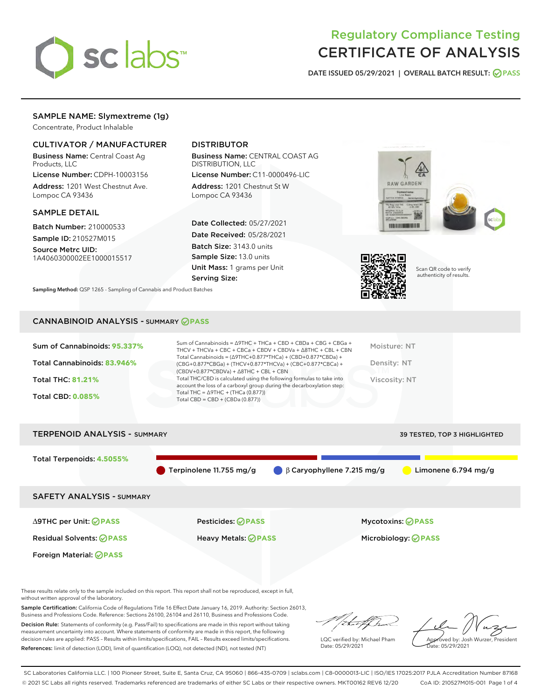

# Regulatory Compliance Testing CERTIFICATE OF ANALYSIS

DATE ISSUED 05/29/2021 | OVERALL BATCH RESULT: @ PASS

# SAMPLE NAME: Slymextreme (1g)

Concentrate, Product Inhalable

# CULTIVATOR / MANUFACTURER

Business Name: Central Coast Ag Products, LLC

License Number: CDPH-10003156 Address: 1201 West Chestnut Ave. Lompoc CA 93436

# SAMPLE DETAIL

Batch Number: 210000533 Sample ID: 210527M015

Source Metrc UID: 1A4060300002EE1000015517

# DISTRIBUTOR

Business Name: CENTRAL COAST AG DISTRIBUTION, LLC

License Number: C11-0000496-LIC Address: 1201 Chestnut St W Lompoc CA 93436

Date Collected: 05/27/2021 Date Received: 05/28/2021 Batch Size: 3143.0 units Sample Size: 13.0 units Unit Mass: 1 grams per Unit Serving Size:





Scan QR code to verify authenticity of results.

Sampling Method: QSP 1265 - Sampling of Cannabis and Product Batches

# CANNABINOID ANALYSIS - SUMMARY **PASS**

| Sum of Cannabinoids: 95.337% | Sum of Cannabinoids = $\triangle$ 9THC + THCa + CBD + CBDa + CBG + CBGa +<br>THCV + THCVa + CBC + CBCa + CBDV + CBDVa + $\Delta$ 8THC + CBL + CBN                                    | Moisture: NT  |
|------------------------------|--------------------------------------------------------------------------------------------------------------------------------------------------------------------------------------|---------------|
| Total Cannabinoids: 83.946%  | Total Cannabinoids = $(\Delta$ 9THC+0.877*THCa) + (CBD+0.877*CBDa) +<br>(CBG+0.877*CBGa) + (THCV+0.877*THCVa) + (CBC+0.877*CBCa) +<br>$(CBDV+0.877*CBDVa) + \Delta 8THC + CBL + CBN$ | Density: NT   |
| <b>Total THC: 81.21%</b>     | Total THC/CBD is calculated using the following formulas to take into<br>account the loss of a carboxyl group during the decarboxylation step:                                       | Viscosity: NT |
| <b>Total CBD: 0.085%</b>     | Total THC = $\triangle$ 9THC + (THCa (0.877))<br>Total CBD = $CBD + (CBDa (0.877))$                                                                                                  |               |
|                              |                                                                                                                                                                                      |               |

| <b>TERPENOID ANALYSIS - SUMMARY</b>     |                             |                                             | 39 TESTED, TOP 3 HIGHLIGHTED |
|-----------------------------------------|-----------------------------|---------------------------------------------|------------------------------|
| Total Terpenoids: 4.5055%               | Terpinolene 11.755 mg/g     | $\bigcirc$ $\beta$ Caryophyllene 7.215 mg/g | Limonene 6.794 mg/g          |
| <b>SAFETY ANALYSIS - SUMMARY</b>        |                             |                                             |                              |
| $\triangle$ 9THC per Unit: $\odot$ PASS | Pesticides: ⊘PASS           |                                             | Mycotoxins: ⊘PASS            |
| <b>Residual Solvents: ⊘PASS</b>         | <b>Heavy Metals: ⊘ PASS</b> |                                             | Microbiology: <b>OPASS</b>   |
| Foreign Material: ⊘PASS                 |                             |                                             |                              |

These results relate only to the sample included on this report. This report shall not be reproduced, except in full, without written approval of the laboratory.

Sample Certification: California Code of Regulations Title 16 Effect Date January 16, 2019. Authority: Section 26013, Business and Professions Code. Reference: Sections 26100, 26104 and 26110, Business and Professions Code.

Decision Rule: Statements of conformity (e.g. Pass/Fail) to specifications are made in this report without taking measurement uncertainty into account. Where statements of conformity are made in this report, the following decision rules are applied: PASS – Results within limits/specifications, FAIL – Results exceed limits/specifications. References: limit of detection (LOD), limit of quantification (LOQ), not detected (ND), not tested (NT)

/that f(h

LQC verified by: Michael Pham Date: 05/29/2021

Approved by: Josh Wurzer, President Date: 05/29/2021

SC Laboratories California LLC. | 100 Pioneer Street, Suite E, Santa Cruz, CA 95060 | 866-435-0709 | sclabs.com | C8-0000013-LIC | ISO/IES 17025:2017 PJLA Accreditation Number 87168 © 2021 SC Labs all rights reserved. Trademarks referenced are trademarks of either SC Labs or their respective owners. MKT00162 REV6 12/20 CoA ID: 210527M015-001 Page 1 of 4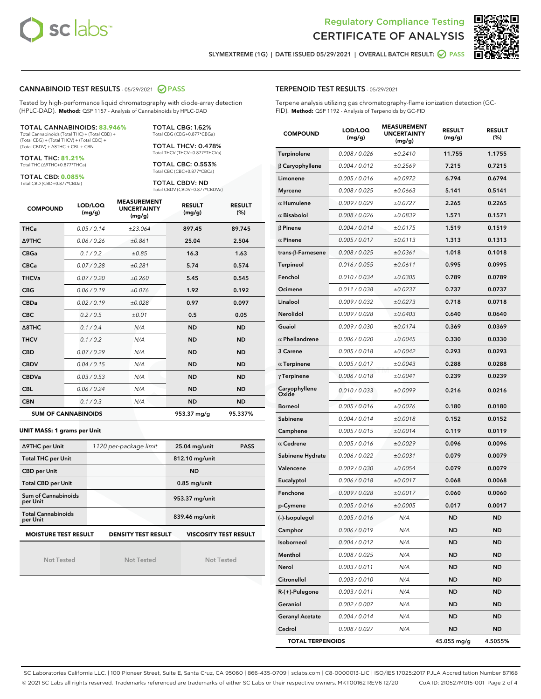



SLYMEXTREME (1G) | DATE ISSUED 05/29/2021 | OVERALL BATCH RESULT: @ PASS

# CANNABINOID TEST RESULTS - 05/29/2021 2 PASS

Tested by high-performance liquid chromatography with diode-array detection (HPLC-DAD). **Method:** QSP 1157 - Analysis of Cannabinoids by HPLC-DAD

#### TOTAL CANNABINOIDS: **83.946%** Total Cannabinoids (Total THC) + (Total CBD) +

(Total CBG) + (Total THCV) + (Total CBC) + (Total CBDV) + ∆8THC + CBL + CBN

TOTAL THC: **81.21%** Total THC (∆9THC+0.877\*THCa)

TOTAL CBD: **0.085%**

Total CBD (CBD+0.877\*CBDa)

TOTAL CBG: 1.62% Total CBG (CBG+0.877\*CBGa)

TOTAL THCV: 0.478% Total THCV (THCV+0.877\*THCVa)

TOTAL CBC: 0.553% Total CBC (CBC+0.877\*CBCa)

TOTAL CBDV: ND Total CBDV (CBDV+0.877\*CBDVa)

| <b>COMPOUND</b>  | LOD/LOQ<br>(mg/g)          | <b>MEASUREMENT</b><br><b>UNCERTAINTY</b><br>(mg/g) | <b>RESULT</b><br>(mg/g) | <b>RESULT</b><br>(%) |
|------------------|----------------------------|----------------------------------------------------|-------------------------|----------------------|
| <b>THCa</b>      | 0.05/0.14                  | ±23.064                                            | 897.45                  | 89.745               |
| <b>A9THC</b>     | 0.06/0.26                  | ±0.861                                             | 25.04                   | 2.504                |
| <b>CBGa</b>      | 0.1 / 0.2                  | ±0.85                                              | 16.3                    | 1.63                 |
| <b>CBCa</b>      | 0.07/0.28                  | ±0.281                                             | 5.74                    | 0.574                |
| <b>THCVa</b>     | 0.07/0.20                  | ±0.260                                             | 5.45                    | 0.545                |
| <b>CBG</b>       | 0.06/0.19                  | ±0.076                                             | 1.92                    | 0.192                |
| <b>CBDa</b>      | 0.02/0.19                  | ±0.028                                             | 0.97                    | 0.097                |
| <b>CBC</b>       | 0.2 / 0.5                  | ±0.01                                              | 0.5                     | 0.05                 |
| $\triangle$ 8THC | 0.1/0.4                    | N/A                                                | <b>ND</b>               | <b>ND</b>            |
| <b>THCV</b>      | 0.1/0.2                    | N/A                                                | <b>ND</b>               | <b>ND</b>            |
| <b>CBD</b>       | 0.07/0.29                  | N/A                                                | <b>ND</b>               | <b>ND</b>            |
| <b>CBDV</b>      | 0.04 / 0.15                | N/A                                                | <b>ND</b>               | <b>ND</b>            |
| <b>CBDVa</b>     | 0.03/0.53                  | N/A                                                | <b>ND</b>               | <b>ND</b>            |
| <b>CBL</b>       | 0.06 / 0.24                | N/A                                                | <b>ND</b>               | <b>ND</b>            |
| <b>CBN</b>       | 0.1/0.3                    | N/A                                                | <b>ND</b>               | <b>ND</b>            |
|                  | <b>SUM OF CANNABINOIDS</b> |                                                    | 953.37 mg/g             | 95.337%              |

#### **UNIT MASS: 1 grams per Unit**

| ∆9THC per Unit                                                                            | 1120 per-package limit | 25.04 mg/unit<br><b>PASS</b> |  |  |  |
|-------------------------------------------------------------------------------------------|------------------------|------------------------------|--|--|--|
| <b>Total THC per Unit</b>                                                                 |                        | 812.10 mg/unit               |  |  |  |
| <b>CBD per Unit</b>                                                                       |                        | <b>ND</b>                    |  |  |  |
| <b>Total CBD per Unit</b>                                                                 |                        | $0.85$ mg/unit               |  |  |  |
| Sum of Cannabinoids<br>per Unit                                                           |                        | 953.37 mg/unit               |  |  |  |
| <b>Total Cannabinoids</b><br>per Unit                                                     |                        | 839.46 mg/unit               |  |  |  |
| <b>MOISTURE TEST RESULT</b><br><b>VISCOSITY TEST RESULT</b><br><b>DENSITY TEST RESULT</b> |                        |                              |  |  |  |

Not Tested

Not Tested

Not Tested

# TERPENOID TEST RESULTS - 05/29/2021

Terpene analysis utilizing gas chromatography-flame ionization detection (GC-FID). **Method:** QSP 1192 - Analysis of Terpenoids by GC-FID

| <b>COMPOUND</b>           | LOD/LOQ<br>(mg/g)    | <b>MEASUREMENT</b><br><b>UNCERTAINTY</b><br>(mg/g) | <b>RESULT</b><br>(mg/g) | <b>RESULT</b><br>(%) |
|---------------------------|----------------------|----------------------------------------------------|-------------------------|----------------------|
| Terpinolene               | 0.008 / 0.026        | ±0.2410                                            | 11.755                  | 1.1755               |
| $\beta$ Caryophyllene     | 0.004 / 0.012        | ±0.2569                                            | 7.215                   | 0.7215               |
| Limonene                  | 0.005 / 0.016        | ±0.0972                                            | 6.794                   | 0.6794               |
| <b>Myrcene</b>            | 0.008 / 0.025        | ±0.0663                                            | 5.141                   | 0.5141               |
| $\alpha$ Humulene         | 0.009 / 0.029        | ±0.0727                                            | 2.265                   | 0.2265               |
| $\alpha$ Bisabolol        | 0.008 / 0.026        | ±0.0839                                            | 1.571                   | 0.1571               |
| $\beta$ Pinene            | 0.004 / 0.014        | ±0.0175                                            | 1.519                   | 0.1519               |
| $\alpha$ Pinene           | 0.005 / 0.017        | ±0.0113                                            | 1.313                   | 0.1313               |
| trans- $\beta$ -Farnesene | 0.008 / 0.025        | ±0.0361                                            | 1.018                   | 0.1018               |
| <b>Terpineol</b>          | 0.016 / 0.055        | ±0.0611                                            | 0.995                   | 0.0995               |
| Fenchol                   | 0.010 / 0.034        | ±0.0305                                            | 0.789                   | 0.0789               |
| Ocimene                   | 0.011 / 0.038        | ±0.0237                                            | 0.737                   | 0.0737               |
| Linalool                  | 0.009 / 0.032        | ±0.0273                                            | 0.718                   | 0.0718               |
| Nerolidol                 | 0.009 / 0.028        | ±0.0403                                            | 0.640                   | 0.0640               |
| Guaiol                    | 0.009 / 0.030        | ±0.0174                                            | 0.369                   | 0.0369               |
| $\alpha$ Phellandrene     | 0.006 / 0.020        | ±0.0045                                            | 0.330                   | 0.0330               |
| 3 Carene                  | 0.005 / 0.018        | ±0.0042                                            | 0.293                   | 0.0293               |
| $\alpha$ Terpinene        | 0.005 / 0.017        | ±0.0043                                            | 0.288                   | 0.0288               |
| $\gamma$ Terpinene        | 0.006 / 0.018        | ±0.0041                                            | 0.239                   | 0.0239               |
| Caryophyllene<br>Oxide    | 0.010/0.033          | ±0.0099                                            | 0.216                   | 0.0216               |
| <b>Borneol</b>            | 0.005 / 0.016        | ±0.0076                                            | 0.180                   | 0.0180               |
| Sabinene                  | 0.004 / 0.014        | ±0.0018                                            | 0.152                   | 0.0152               |
| Camphene                  | 0.005 / 0.015        | ±0.0014                                            | 0.119                   | 0.0119               |
| $\alpha$ Cedrene          | 0.005 / 0.016        | ±0.0029                                            | 0.096                   | 0.0096               |
| Sabinene Hydrate          | 0.006 / 0.022        | ±0.0031                                            | 0.079                   | 0.0079               |
| Valencene                 | <i>0.009 / 0.030</i> | ±0.0054                                            | 0.079                   | 0.0079               |
| Eucalyptol                | 0.006 / 0.018        | ±0.0017                                            | 0.068                   | 0.0068               |
| Fenchone                  | 0.009 / 0.028        | ±0.0017                                            | 0.060                   | 0.0060               |
| p-Cymene                  | 0.005 / 0.016        | ±0.0005                                            | 0.017                   | 0.0017               |
| (-)-Isopulegol            | 0.005 / 0.016        | N/A                                                | ND                      | <b>ND</b>            |
| Camphor                   | 0.006 / 0.019        | N/A                                                | ND                      | ND                   |
| Isoborneol                | 0.004 / 0.012        | N/A                                                | ND                      | ND                   |
| Menthol                   | 0.008 / 0.025        | N/A                                                | ND                      | ND                   |
| Nerol                     | 0.003 / 0.011        | N/A                                                | ND                      | ND                   |
| Citronellol               | 0.003 / 0.010        | N/A                                                | ND                      | ND                   |
| $R-(+)$ -Pulegone         | 0.003 / 0.011        | N/A                                                | ND                      | ND                   |
| Geraniol                  | 0.002 / 0.007        | N/A                                                | ND                      | ND                   |
| <b>Geranyl Acetate</b>    | 0.004 / 0.014        | N/A                                                | ND                      | ND                   |
| Cedrol                    | 0.008 / 0.027        | N/A                                                | ND                      | ND                   |
| <b>TOTAL TERPENOIDS</b>   |                      |                                                    | 45.055 mg/g             | 4.5055%              |

SC Laboratories California LLC. | 100 Pioneer Street, Suite E, Santa Cruz, CA 95060 | 866-435-0709 | sclabs.com | C8-0000013-LIC | ISO/IES 17025:2017 PJLA Accreditation Number 87168 © 2021 SC Labs all rights reserved. Trademarks referenced are trademarks of either SC Labs or their respective owners. MKT00162 REV6 12/20 CoA ID: 210527M015-001 Page 2 of 4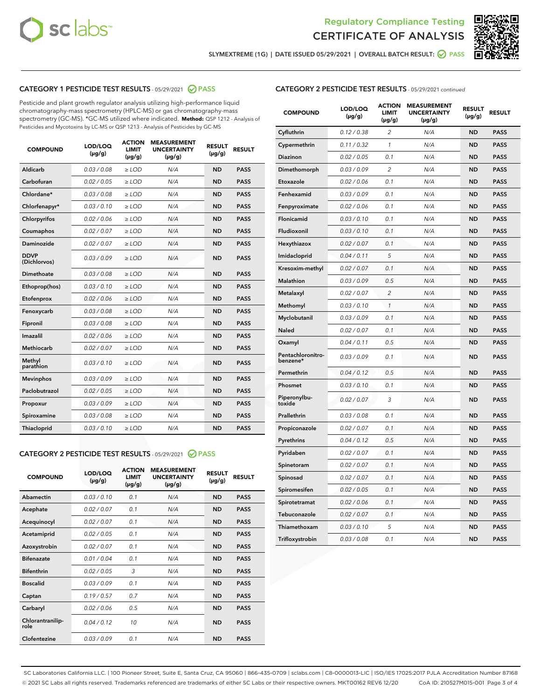



SLYMEXTREME (1G) | DATE ISSUED 05/29/2021 | OVERALL BATCH RESULT: 2 PASS

# CATEGORY 1 PESTICIDE TEST RESULTS - 05/29/2021 2 PASS

Pesticide and plant growth regulator analysis utilizing high-performance liquid chromatography-mass spectrometry (HPLC-MS) or gas chromatography-mass spectrometry (GC-MS). \*GC-MS utilized where indicated. **Method:** QSP 1212 - Analysis of Pesticides and Mycotoxins by LC-MS or QSP 1213 - Analysis of Pesticides by GC-MS

| <b>COMPOUND</b>             | LOD/LOQ<br>$(\mu g/g)$ | <b>ACTION</b><br><b>LIMIT</b><br>$(\mu g/g)$ | <b>MEASUREMENT</b><br><b>UNCERTAINTY</b><br>$(\mu g/g)$ | <b>RESULT</b><br>$(\mu g/g)$ | <b>RESULT</b> |
|-----------------------------|------------------------|----------------------------------------------|---------------------------------------------------------|------------------------------|---------------|
| Aldicarb                    | 0.03 / 0.08            | $\ge$ LOD                                    | N/A                                                     | <b>ND</b>                    | <b>PASS</b>   |
| Carbofuran                  | 0.02 / 0.05            | $\ge$ LOD                                    | N/A                                                     | <b>ND</b>                    | <b>PASS</b>   |
| Chlordane*                  | 0.03 / 0.08            | $\ge$ LOD                                    | N/A                                                     | <b>ND</b>                    | <b>PASS</b>   |
| Chlorfenapyr*               | 0.03/0.10              | $\ge$ LOD                                    | N/A                                                     | <b>ND</b>                    | <b>PASS</b>   |
| Chlorpyrifos                | 0.02 / 0.06            | $\ge$ LOD                                    | N/A                                                     | <b>ND</b>                    | <b>PASS</b>   |
| Coumaphos                   | 0.02 / 0.07            | $\ge$ LOD                                    | N/A                                                     | <b>ND</b>                    | <b>PASS</b>   |
| Daminozide                  | 0.02 / 0.07            | $\ge$ LOD                                    | N/A                                                     | <b>ND</b>                    | <b>PASS</b>   |
| <b>DDVP</b><br>(Dichlorvos) | 0.03/0.09              | $>$ LOD                                      | N/A                                                     | <b>ND</b>                    | <b>PASS</b>   |
| Dimethoate                  | 0.03/0.08              | $\ge$ LOD                                    | N/A                                                     | <b>ND</b>                    | <b>PASS</b>   |
| Ethoprop(hos)               | 0.03 / 0.10            | $>$ LOD                                      | N/A                                                     | <b>ND</b>                    | <b>PASS</b>   |
| Etofenprox                  | 0.02 / 0.06            | $\ge$ LOD                                    | N/A                                                     | <b>ND</b>                    | <b>PASS</b>   |
| Fenoxycarb                  | 0.03/0.08              | $\ge$ LOD                                    | N/A                                                     | <b>ND</b>                    | <b>PASS</b>   |
| Fipronil                    | 0.03/0.08              | $\ge$ LOD                                    | N/A                                                     | <b>ND</b>                    | <b>PASS</b>   |
| Imazalil                    | 0.02 / 0.06            | $>$ LOD                                      | N/A                                                     | <b>ND</b>                    | <b>PASS</b>   |
| <b>Methiocarb</b>           | 0.02 / 0.07            | $\ge$ LOD                                    | N/A                                                     | <b>ND</b>                    | <b>PASS</b>   |
| Methyl<br>parathion         | 0.03/0.10              | $\ge$ LOD                                    | N/A                                                     | <b>ND</b>                    | <b>PASS</b>   |
| <b>Mevinphos</b>            | 0.03/0.09              | $\ge$ LOD                                    | N/A                                                     | <b>ND</b>                    | <b>PASS</b>   |
| Paclobutrazol               | 0.02 / 0.05            | $>$ LOD                                      | N/A                                                     | <b>ND</b>                    | <b>PASS</b>   |
| Propoxur                    | 0.03/0.09              | $\ge$ LOD                                    | N/A                                                     | <b>ND</b>                    | <b>PASS</b>   |
| Spiroxamine                 | 0.03/0.08              | $\ge$ LOD                                    | N/A                                                     | <b>ND</b>                    | <b>PASS</b>   |
| Thiacloprid                 | 0.03/0.10              | $\ge$ LOD                                    | N/A                                                     | <b>ND</b>                    | <b>PASS</b>   |

# CATEGORY 2 PESTICIDE TEST RESULTS - 05/29/2021 @ PASS

| <b>COMPOUND</b>          | LOD/LOQ<br>$(\mu g/g)$ | <b>ACTION</b><br><b>LIMIT</b><br>$(\mu g/g)$ | <b>MEASUREMENT</b><br><b>UNCERTAINTY</b><br>$(\mu g/g)$ | <b>RESULT</b><br>$(\mu g/g)$ | <b>RESULT</b> |
|--------------------------|------------------------|----------------------------------------------|---------------------------------------------------------|------------------------------|---------------|
| Abamectin                | 0.03/0.10              | 0.1                                          | N/A                                                     | <b>ND</b>                    | <b>PASS</b>   |
| Acephate                 | 0.02/0.07              | 0.1                                          | N/A                                                     | <b>ND</b>                    | <b>PASS</b>   |
| Acequinocyl              | 0.02/0.07              | 0.1                                          | N/A                                                     | <b>ND</b>                    | <b>PASS</b>   |
| Acetamiprid              | 0.02/0.05              | 0.1                                          | N/A                                                     | <b>ND</b>                    | <b>PASS</b>   |
| Azoxystrobin             | 0.02/0.07              | 0.1                                          | N/A                                                     | <b>ND</b>                    | <b>PASS</b>   |
| <b>Bifenazate</b>        | 0.01/0.04              | 0.1                                          | N/A                                                     | <b>ND</b>                    | <b>PASS</b>   |
| <b>Bifenthrin</b>        | 0.02 / 0.05            | 3                                            | N/A                                                     | <b>ND</b>                    | <b>PASS</b>   |
| <b>Boscalid</b>          | 0.03/0.09              | 0.1                                          | N/A                                                     | <b>ND</b>                    | <b>PASS</b>   |
| Captan                   | 0.19/0.57              | 0.7                                          | N/A                                                     | <b>ND</b>                    | <b>PASS</b>   |
| Carbaryl                 | 0.02/0.06              | 0.5                                          | N/A                                                     | <b>ND</b>                    | <b>PASS</b>   |
| Chlorantranilip-<br>role | 0.04/0.12              | 10                                           | N/A                                                     | <b>ND</b>                    | <b>PASS</b>   |
| Clofentezine             | 0.03/0.09              | 0.1                                          | N/A                                                     | <b>ND</b>                    | <b>PASS</b>   |

# CATEGORY 2 PESTICIDE TEST RESULTS - 05/29/2021 continued

| <b>COMPOUND</b>               | LOD/LOQ<br>(µg/g) | <b>ACTION</b><br>LIMIT<br>$(\mu g/g)$ | <b>MEASUREMENT</b><br><b>UNCERTAINTY</b><br>(µg/g) | <b>RESULT</b><br>(µg/g) | <b>RESULT</b> |
|-------------------------------|-------------------|---------------------------------------|----------------------------------------------------|-------------------------|---------------|
| Cyfluthrin                    | 0.12 / 0.38       | 2                                     | N/A                                                | ND                      | <b>PASS</b>   |
| Cypermethrin                  | 0.11 / 0.32       | 1                                     | N/A                                                | ND                      | <b>PASS</b>   |
| Diazinon                      | 0.02 / 0.05       | 0.1                                   | N/A                                                | ND                      | <b>PASS</b>   |
| Dimethomorph                  | 0.03 / 0.09       | $\overline{2}$                        | N/A                                                | <b>ND</b>               | <b>PASS</b>   |
| Etoxazole                     | 0.02 / 0.06       | 0.1                                   | N/A                                                | ND                      | <b>PASS</b>   |
| Fenhexamid                    | 0.03 / 0.09       | 0.1                                   | N/A                                                | ND                      | <b>PASS</b>   |
| Fenpyroximate                 | 0.02 / 0.06       | 0.1                                   | N/A                                                | <b>ND</b>               | <b>PASS</b>   |
| Flonicamid                    | 0.03 / 0.10       | 0.1                                   | N/A                                                | <b>ND</b>               | <b>PASS</b>   |
| Fludioxonil                   | 0.03 / 0.10       | 0.1                                   | N/A                                                | <b>ND</b>               | <b>PASS</b>   |
| Hexythiazox                   | 0.02 / 0.07       | 0.1                                   | N/A                                                | <b>ND</b>               | <b>PASS</b>   |
| Imidacloprid                  | 0.04 / 0.11       | 5                                     | N/A                                                | <b>ND</b>               | <b>PASS</b>   |
| Kresoxim-methyl               | 0.02 / 0.07       | 0.1                                   | N/A                                                | ND                      | <b>PASS</b>   |
| Malathion                     | 0.03 / 0.09       | 0.5                                   | N/A                                                | <b>ND</b>               | <b>PASS</b>   |
| Metalaxyl                     | 0.02 / 0.07       | $\overline{c}$                        | N/A                                                | <b>ND</b>               | <b>PASS</b>   |
| Methomyl                      | 0.03 / 0.10       | 1                                     | N/A                                                | ND                      | <b>PASS</b>   |
| Myclobutanil                  | 0.03/0.09         | 0.1                                   | N/A                                                | <b>ND</b>               | <b>PASS</b>   |
| Naled                         | 0.02 / 0.07       | 0.1                                   | N/A                                                | ND                      | <b>PASS</b>   |
| Oxamyl                        | 0.04 / 0.11       | 0.5                                   | N/A                                                | ND                      | <b>PASS</b>   |
| Pentachloronitro-<br>benzene* | 0.03 / 0.09       | 0.1                                   | N/A                                                | ND                      | <b>PASS</b>   |
| Permethrin                    | 0.04/0.12         | 0.5                                   | N/A                                                | <b>ND</b>               | <b>PASS</b>   |
| Phosmet                       | 0.03 / 0.10       | 0.1                                   | N/A                                                | ND                      | <b>PASS</b>   |
| Piperonylbu-<br>toxide        | 0.02 / 0.07       | 3                                     | N/A                                                | <b>ND</b>               | <b>PASS</b>   |
| Prallethrin                   | 0.03 / 0.08       | 0.1                                   | N/A                                                | <b>ND</b>               | <b>PASS</b>   |
| Propiconazole                 | 0.02 / 0.07       | 0.1                                   | N/A                                                | ND                      | <b>PASS</b>   |
| Pyrethrins                    | 0.04 / 0.12       | 0.5                                   | N/A                                                | ND                      | <b>PASS</b>   |
| Pyridaben                     | 0.02 / 0.07       | 0.1                                   | N/A                                                | <b>ND</b>               | <b>PASS</b>   |
| Spinetoram                    | 0.02 / 0.07       | 0.1                                   | N/A                                                | ND                      | <b>PASS</b>   |
| Spinosad                      | 0.02 / 0.07       | 0.1                                   | N/A                                                | ND                      | <b>PASS</b>   |
| Spiromesifen                  | 0.02 / 0.05       | 0.1                                   | N/A                                                | <b>ND</b>               | <b>PASS</b>   |
| Spirotetramat                 | 0.02 / 0.06       | 0.1                                   | N/A                                                | ND                      | <b>PASS</b>   |
| Tebuconazole                  | 0.02 / 0.07       | 0.1                                   | N/A                                                | ND                      | <b>PASS</b>   |
| Thiamethoxam                  | 0.03 / 0.10       | 5                                     | N/A                                                | <b>ND</b>               | <b>PASS</b>   |
| Trifloxystrobin               | 0.03 / 0.08       | 0.1                                   | N/A                                                | <b>ND</b>               | <b>PASS</b>   |

SC Laboratories California LLC. | 100 Pioneer Street, Suite E, Santa Cruz, CA 95060 | 866-435-0709 | sclabs.com | C8-0000013-LIC | ISO/IES 17025:2017 PJLA Accreditation Number 87168 © 2021 SC Labs all rights reserved. Trademarks referenced are trademarks of either SC Labs or their respective owners. MKT00162 REV6 12/20 CoA ID: 210527M015-001 Page 3 of 4